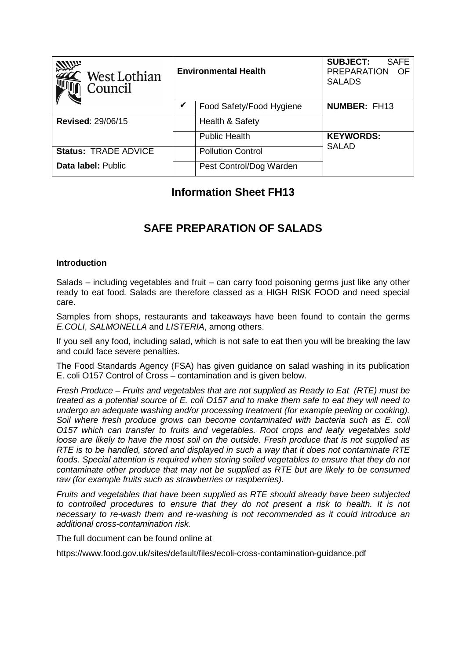| <b>ANUX</b><br>$\mathsf{\subseteq}\mathsf{West}$ Lothian<br>Council | <b>Environmental Health</b> |                          | <b>SUBJECT:</b><br><b>SAFE</b><br><b>PREPARATION</b><br>- OF<br><b>SALADS</b> |
|---------------------------------------------------------------------|-----------------------------|--------------------------|-------------------------------------------------------------------------------|
|                                                                     |                             | Food Safety/Food Hygiene | <b>NUMBER: FH13</b>                                                           |
| <b>Revised: 29/06/15</b>                                            |                             | Health & Safety          |                                                                               |
|                                                                     |                             | <b>Public Health</b>     | <b>KEYWORDS:</b>                                                              |
| <b>Status: TRADE ADVICE</b>                                         |                             | <b>Pollution Control</b> | <b>SALAD</b>                                                                  |
| Data label: Public                                                  |                             | Pest Control/Dog Warden  |                                                                               |

## **Information Sheet FH13**

# **SAFE PREPARATION OF SALADS**

#### **Introduction**

Salads – including vegetables and fruit – can carry food poisoning germs just like any other ready to eat food. Salads are therefore classed as a HIGH RISK FOOD and need special care.

Samples from shops, restaurants and takeaways have been found to contain the germs E.COLI, SALMONELLA and LISTERIA, among others.

If you sell any food, including salad, which is not safe to eat then you will be breaking the law and could face severe penalties.

The Food Standards Agency (FSA) has given guidance on salad washing in its publication E. coli O157 Control of Cross – contamination and is given below.

Fresh Produce – Fruits and vegetables that are not supplied as Ready to Eat (RTE) must be treated as a potential source of E. coli O157 and to make them safe to eat they will need to undergo an adequate washing and/or processing treatment (for example peeling or cooking). Soil where fresh produce grows can become contaminated with bacteria such as E. coli O157 which can transfer to fruits and vegetables. Root crops and leafy vegetables sold loose are likely to have the most soil on the outside. Fresh produce that is not supplied as RTE is to be handled, stored and displayed in such a way that it does not contaminate RTE foods. Special attention is required when storing soiled vegetables to ensure that they do not contaminate other produce that may not be supplied as RTE but are likely to be consumed raw (for example fruits such as strawberries or raspberries).

Fruits and vegetables that have been supplied as RTE should already have been subjected to controlled procedures to ensure that they do not present a risk to health. It is not necessary to re-wash them and re-washing is not recommended as it could introduce an additional cross-contamination risk.

The full document can be found online at

https://www.food.gov.uk/sites/default/files/ecoli-cross-contamination-guidance.pdf